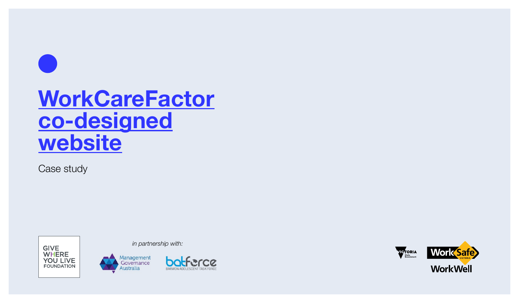## **WorkCareFactor co-designed website**

Case study



*in partnership with:*





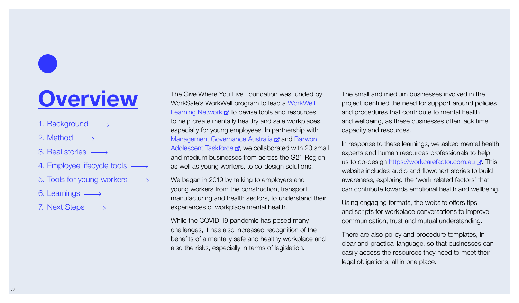## **Overview**

- 1. [Background](#page-2-0)  $\longrightarrow$
- 2. [Method](#page-3-0)  $\longrightarrow$
- 3. [Real stories](#page-4-0)
- 4. [Employee lifecycle tools](#page-5-0)  $\longrightarrow$
- 5. [Tools for young workers](#page-6-0)
- 6. [Learnings](#page-7-0)
- 7. [Next Steps](#page-11-0)  $\longrightarrow$

The Give Where You Live Foundation was funded by WorkSafe's WorkWell program to lead a [WorkWell](https://www.workwell.vic.gov.au/workwell-learning-networks) [Learning Network](https://www.workwell.vic.gov.au/workwell-learning-networks)  $\vec{r}$  to devise tools and resources to help create mentally healthy and safe workplaces, especially for young employees. In partnership with [Management Governance Australia](https://mg-australia.com.au) **F** and [Barwon](https://batforce.org.au) [Adolescent Taskforce](https://batforce.org.au)  $\vec{r}$ , we collaborated with 20 small and medium businesses from across the G21 Region, as well as young workers, to co-design solutions.

We began in 2019 by talking to employers and young workers from the construction, transport, manufacturing and health sectors, to understand their experiences of workplace mental health.

While the COVID-19 pandemic has posed many challenges, it has also increased recognition of the benefits of a mentally safe and healthy workplace and also the risks, especially in terms of legislation.

The small and medium businesses involved in the project identified the need for support around policies and procedures that [contribute to mental health](https://workcarefactor.com.au)  and wellbeing, as these businesses often lack time, capacity and resources.

In response to these learnings, we asked mental health experts and human resources professionals to help us to co-design<https://workcarefactor.com.au> r. This website includes audio and flowchart stories to build awareness, exploring the 'work related factors' that can contribute towards emotional health and wellbeing.

Using engaging formats, the website offers tips and scripts for workplace conversations to improve communication, trust and mutual understanding.

There are also policy and procedure templates, in clear and practical language, so that businesses can easily access the resources they need to meet their legal obligations, all in one place.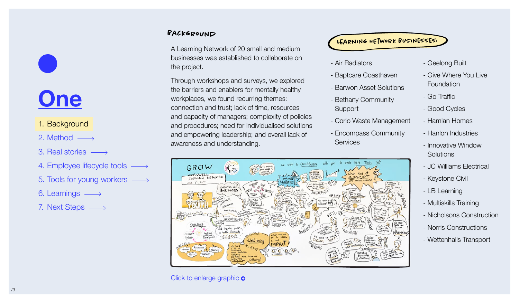# <span id="page-2-0"></span>**One**

## 1. Background

- 2. [Method](#page-3-0)  $\longrightarrow$
- 3. [Real stories](#page-4-0)
- 4. [Employee lifecycle tools](#page-5-0)  $\longrightarrow$
- 5. [Tools for young workers](#page-6-0)
- 6. [Learnings](#page-7-0)
- 7. [Next Steps](#page-11-0)

## BACKGROUND

A Learning Network of 20 small and medium businesses was established to collaborate on the project.

Through workshops and surveys, we explored the barriers and enablers for mentally healthy workplaces, we found recurring themes: connection and trust; lack of time, resources and capacity of managers; complexity of policies and procedures; need for individualised solutions and empowering leadership; and overall lack of awareness and understanding.



### [Click to enlarge graphic](https://workcarefactor.com.au/wp-content/uploads/GROW-Workwell-050819.png) **o**

Learning NEtwork Businesses:

- Air Radiators
- Baptcare Coasthaven
- Barwon Asset Solutions
- Bethany Community **Support**
- Corio Waste Management
- Encompass Community **Services**
- Geelong Built
- Give Where You Live Foundation
- Go Traffic
- Good Cycles
- Hamlan Homes
- Hanlon Industries
- Innovative Window **Solutions**
- JC Williams Electrical
- Keystone Civil
- LB Learning
- Multiskills Training
- Nicholsons Construction
- Norris Constructions
- Wettenhalls Transport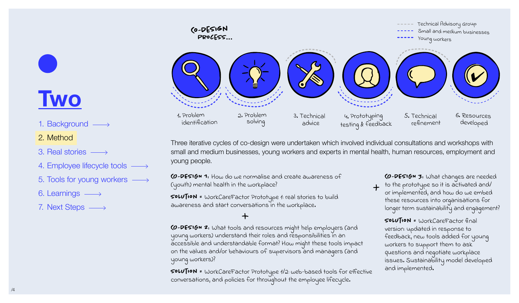

Three iterative cycles of co-design were undertaken which involved individual consultations and workshops with small and medium businesses, young workers and experts in mental health, human resources, employment and young people.

CO-DESIGN 1: How do we normalise and create awareness of (youth) mental health in the workplace?

SoLution = WorkCareFactor Prototype 1: real stories to build awareness and start conversations in the workplace.

CO-DESIGN 2: What tools and resources might help employers (and young workers) understand their roles and responsibilities in an accessible and understandable format? How might these tools impact on the values and/or behaviours of supervisors and managers (and young workers)?

SoLution = WorkCareFactor Prototype 1/2: web-based tools for effective conversations, and policies for throughout the employee lifecycle.

CO-DESIGN 3: What changes are needed

to the prototype so it is activated and/ or implemented, and how do we embed these resources into organisations for longer term sustainability and engagement?

SoLution = WorkCareFactor final version: updated in response to feedback, new tools added for young workers to support them to ask questions and negotiate workplace issues. Sustainability model developed and implemented.

## <span id="page-3-0"></span>**Two**

### 1. [Background](#page-2-0)  $\longrightarrow$

### 2. Method

- 3. [Real stories](#page-4-0)
- 4. [Employee lifecycle tools](#page-5-0)  $\longrightarrow$
- 5. [Tools for young workers](#page-6-0)
- 6. [Learnings](#page-7-0)  $\longrightarrow$
- 7. [Next Steps](#page-11-0)  $\longrightarrow$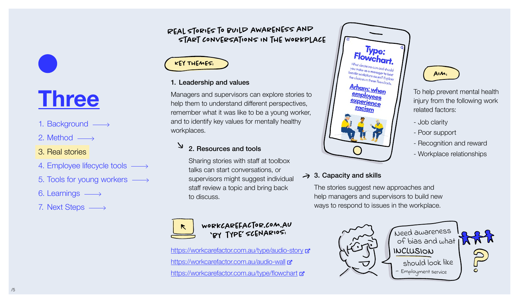## Real stories to build awareness and start conversations in the workplace

## Key ThemEs:

### 1. Leadership and values

Managers and supervisors can explore stories to help them to understand different perspectives, remember what it was like to be a young worker, and to identify key values for mentally healthy workplaces.

## 2. Resources and tools

Sharing stories with staff at toolbox talks can start conversations, or supervisors might suggest individual staff review a topic and bring back to discuss.



### Workcarefactor.com.au 'by type' scenarios:

<https://workcarefactor.com.au/type/audio-story>  $\mathbf{z}$ <https://workcarefactor.com.au/audio-wall> <https://workcarefactor.com.au/type/flowchart>



## $\rightarrow$  3. Capacity and skills

The stories suggest new approaches and help managers and supervisors to build new ways to respond to issues in the workplace.



To help prevent mental health injury from the following work

- Recognition and reward - Workplace relationships

related factors:

 $AIM:$ 

- Poor support

- Job clarity

# <span id="page-4-0"></span>**Three**

- 1. [Background](#page-2-0)  $\longrightarrow$
- 2. [Method](#page-3-0)  $\longrightarrow$
- 3. Real stories
- 4. [Employee lifecycle tools](#page-5-0)  $\longrightarrow$
- 5. [Tools for young workers](#page-6-0)
- 6. [Learnings](#page-7-0)
- 7. [Next Steps](#page-11-0)  $\longrightarrow$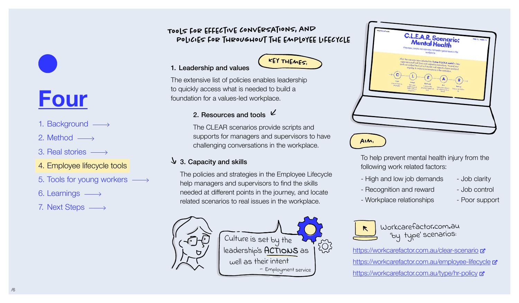## Tools for effective conversations, and policies for throughout the employee lifecycle



### 1. Leadership and values

The extensive list of policies enables leadership to quickly access what is needed to build a foundation for a values-led workplace.

## 2. Resources and tools  $\vee$

The CLEAR scenarios provide scripts and supports for managers and supervisors to have challenging conversations in the workplace.

### $\sqrt{3}$ . Capacity and skills

The policies and strategies in the Employee Lifecycle help managers and supervisors to find the skills needed at different points in the journey, and locate related scenarios to real issues in the workplace.



To help prevent mental health injury from the following work related factors:

- High and low job demands Job clarity
- Recognition and reward Job control
- Workplace relationships Poor support
- 





Workcarefactor.com.au 'by type' scenarios:

<https://workcarefactor.com.au/clear-scenario> <https://workcarefactor.com.au/employee-lifecycle> <https://workcarefactor.com.au/type/hr-policy>  $\mathbf{z}$ 

## <span id="page-5-0"></span>**Four**

- 1. [Background](#page-2-0)  $\longrightarrow$
- 2. [Method](#page-3-0)  $\longrightarrow$
- 3. [Real stories](#page-4-0)
- 4. Employee lifecycle tools
- 5. [Tools for young workers](#page-6-0)
- 6. [Learnings](#page-7-0)
- 7. [Next Steps](#page-11-0)  $\longrightarrow$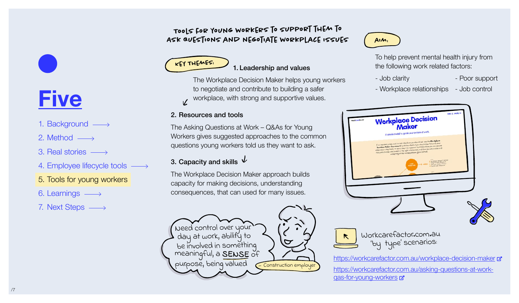## Tools for young workers to support them to Ask questions and negotiate workplace issues



The Workplace Decision Maker helps young workers to negotiate and contribute to building a safer workplace, with strong and supportive values.  $\overline{V}$ 

### 2. Resources and tools

The Asking Questions at Work – Q&As for Young Workers gives suggested approaches to the common questions young workers told us they want to ask.

## 3. Capacity and skills  $\sqrt{ }$

The Workplace Decision Maker approach builds capacity for making decisions, understanding consequences, that can used for many issues.



## $AIM$

To help prevent mental health injury from the following work related factors:

- Job clarity  **Poor support**
- Workplace relationships Job control



## <span id="page-6-0"></span>**Five**

- 1. [Background](#page-2-0)  $\longrightarrow$
- 2. [Method](#page-3-0)  $\longrightarrow$
- 3. [Real stories](#page-4-0)
- 4. [Employee lifecycle tools](#page-5-0)  $\longrightarrow$
- 5. Tools for young workers
- 6. [Learnings](#page-7-0)
- 7. [Next Steps](#page-11-0)  $\longrightarrow$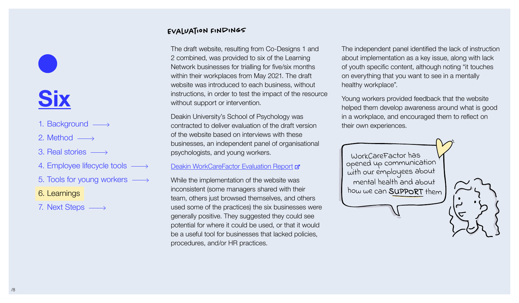# <span id="page-7-0"></span>**Six**

- 1. [Background](#page-2-0)  $\longrightarrow$
- 2. [Method](#page-3-0)  $\longrightarrow$
- 3. [Real stories](#page-4-0)
- 4. [Employee lifecycle tools](#page-5-0)  $\longrightarrow$
- 5. [Tools for young workers](#page-6-0)
- 6. Learnings
- 7. [Next Steps](#page-11-0)  $\longrightarrow$

## Evaluation Findings

The draft website, resulting from Co-Designs 1 and 2 combined, was provided to six of the Learning Network businesses for trialling for five/six months within their workplaces from May 2021. The draft website was introduced to each business, without instructions, in order to test the impact of the resource without support or intervention.

Deakin University's School of Psychology was contracted to deliver evaluation of the draft version of the website based on interviews with these businesses, an independent panel of organisational psychologists, and young workers.

### **[Deakin WorkCareFactor Evaluation Report](https://workcarefactor.com.au/wp-content/uploads/WCF-Evaluation-Report.pdf) &**

While the implementation of the website was inconsistent (some managers shared with their team, others just browsed themselves, and others used some of the practices) the six businesses were generally positive. They suggested they could see potential for where it could be used, or that it would be a useful tool for businesses that lacked policies, procedures, and/or HR practices.

The independent panel identified the lack of instruction about implementation as a key issue, along with lack of youth specific content, although noting "it touches on everything that you want to see in a mentally healthy workplace".

Young workers provided feedback that the website helped them develop awareness around what is good in a workplace, and encouraged them to reflect on their own experiences.

how we can SUPPORT them with our employees about WorkCareFactor has opened up communication mental health and about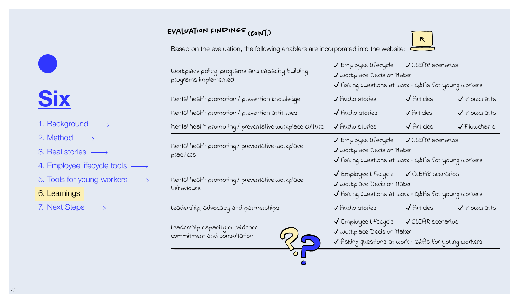## Evaluation Findings (cont.)

 $\kappa$ 

Based on the evaluation, the following enablers are incorporated into the website:  $\overline{S}$ 

| Workplace policy, programs and capacity building<br>programs implemented | ✔ Employee Lifecycle → CLEAR scenarios                                                                                                 |                                                                                                                                        |                             |  |
|--------------------------------------------------------------------------|----------------------------------------------------------------------------------------------------------------------------------------|----------------------------------------------------------------------------------------------------------------------------------------|-----------------------------|--|
|                                                                          | V Workplace Decision Maker                                                                                                             |                                                                                                                                        |                             |  |
|                                                                          | $\sqrt{}$ Asking questions at work – Q&As for young workers                                                                            |                                                                                                                                        |                             |  |
| Mental health promotion / prevention knowledge                           | $\boldsymbol{J}$ Audio stories                                                                                                         | $\sqrt{A}$ rticles                                                                                                                     | $\sqrt{F}$ lowcharts        |  |
| Mental health promotion / prevention attitudes                           | $\sqrt{4}$ udio stories                                                                                                                | $J$ Articles                                                                                                                           | $\sqrt{\text{Flowcharts}}$  |  |
| Mental health promoting / preventative workplace culture                 | J Audio stories                                                                                                                        | $\sqrt{A}$ rticles                                                                                                                     | $J$ Flowcharts              |  |
| Mental health promoting / preventative workplace<br>practices            |                                                                                                                                        | ✔ Employee Lifecycle → CLEAR scenarios<br>V Workplace Decision Maker<br>$\checkmark$ Asking questions at work – Q&As for young workers |                             |  |
| Mental health promoting / preventative workplace<br>behaviours           | √ Employee Lifecycle √ CLEAR scenarios<br>V Workplace Decision Maker<br>$\sqrt{}$ Asking questions at work – Q&As for young workers    |                                                                                                                                        |                             |  |
| Leadership, advocacy and partnerships                                    | $\sqrt{4}$ udio stories $\sqrt{4}$                                                                                                     | $\sqrt{A}$ rticles                                                                                                                     | $\sqrt{\text{F}}$ lowcharts |  |
| Leadership capacity confidence<br>commitment and consultation            | V Employee Lifecycle V CLEAR scenarios<br>J Workplace Decision Maker<br>$\checkmark$ Asking questions at work – Q&As for young workers |                                                                                                                                        |                             |  |

## $\mathcal{L}$ **Six**

- 1. [Background](#page-2-0)  $\longrightarrow$
- 2. [Method](#page-3-0)  $\longrightarrow$
- 3. [Real stories](#page-4-0)
- 4. [Employee lifecycle tools](#page-5-0)  $\longrightarrow$
- 5. [Tools for young workers](#page-6-0)  $\longrightarrow$

## 6. Learnings

7. [Next Steps](#page-11-0)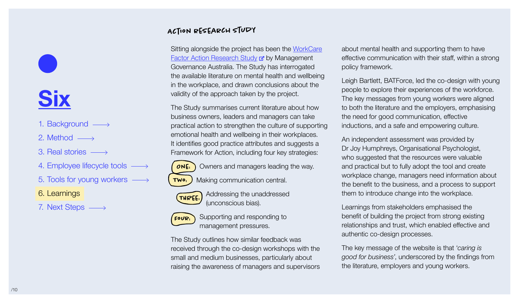## **Six**

- 1. [Background](#page-2-0)  $\longrightarrow$
- 2. [Method](#page-3-0)  $\longrightarrow$
- 3. [Real stories](#page-4-0)
- 4. [Employee lifecycle tools](#page-5-0)  $\longrightarrow$
- 5. [Tools for young workers](#page-6-0)

## 6. Learnings

7. [Next Steps](#page-11-0)  $\longrightarrow$ 

## Action research Study

Sitting alongside the project has been the [WorkCare](https://workcarefactor.com.au/wp-content/uploads/Final-Safe-and-Empowering-Workplaces-Action-Research-Study-December-2021.pdf) [Factor Action Research Study](https://workcarefactor.com.au/wp-content/uploads/Final-Safe-and-Empowering-Workplaces-Action-Research-Study-December-2021.pdf) **a** by Management Governance Australia. The Study has interrogated the available literature on mental health and wellbeing in the workplace, and drawn conclusions about the validity of the approach taken by the project.

The Study summarises current literature about how business owners, leaders and managers can take practical action to strengthen the culture of supporting emotional health and wellbeing in their workplaces. It identifies good practice attributes and suggests a Framework for Action, including four key strategies:

Owners and managers leading the way. Making communication central.  $ONE:$ Two:

Addressing the unaddressed (unconscious bias). THRee:

> Supporting and responding to management pressures.

Four:

The Study outlines how similar feedback was received through the co-design workshops with the small and medium businesses, particularly about raising the awareness of managers and supervisors about mental health and supporting them to have effective communication with their staff, within a strong policy framework.

Leigh Bartlett, BATForce, led the co-design with young people to explore their experiences of the workforce. The key messages from young workers were aligned to both the literature and the employers, emphasising the need for good communication, effective inductions, and a safe and empowering culture.

An independent assessment was provided by Dr Joy Humphreys, Organisational Psychologist, who suggested that the resources were valuable and practical but to fully adopt the tool and create workplace change, managers need information about the benefit to the business, and a process to support them to introduce change into the workplace.

Learnings from stakeholders emphasised the benefit of building the project from strong existing relationships and trust, which enabled effective and authentic co-design processes.

The key message of the website is that '*caring is good for business'*, underscored by the findings from the literature, employers and young workers.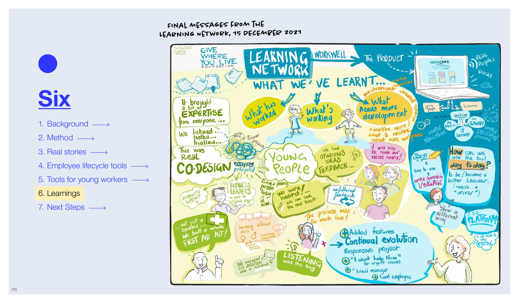## LEARNING NETWORK, 15 DECEMBER 2021 Final messagEs from the



## **Six**

- 1. [Background](#page-2-0)  $\longrightarrow$
- 2. [Method](#page-3-0)  $\longrightarrow$
- 3. [Real stories](#page-4-0)
- 4. [Employee lifecycle tools](#page-5-0)  $\longrightarrow$
- 5. [Tools for young workers](#page-6-0)
- 6. Learnings
- 7. [Next Steps](#page-11-0)